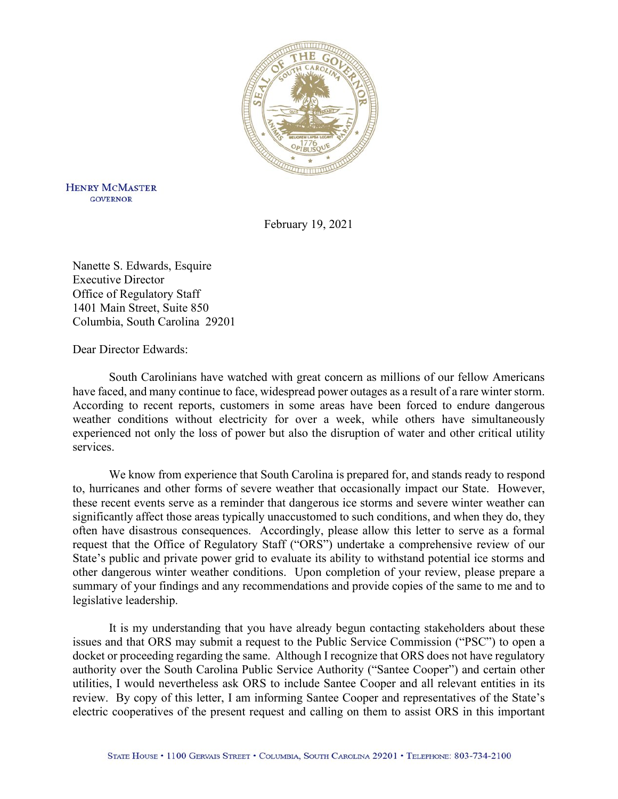

**HENRY MCMASTER GOVERNOR** 

February 19, 2021

Nanette S. Edwards, Esquire Executive Director Office of Regulatory Staff 1401 Main Street, Suite 850 Columbia, South Carolina 29201

Dear Director Edwards:

South Carolinians have watched with great concern as millions of our fellow Americans have faced, and many continue to face, widespread power outages as a result of a rare winter storm. According to recent reports, customers in some areas have been forced to endure dangerous weather conditions without electricity for over a week, while others have simultaneously experienced not only the loss of power but also the disruption of water and other critical utility services.

We know from experience that South Carolina is prepared for, and stands ready to respond to, hurricanes and other forms of severe weather that occasionally impact our State. However, these recent events serve as a reminder that dangerous ice storms and severe winter weather can significantly affect those areas typically unaccustomed to such conditions, and when they do, they often have disastrous consequences. Accordingly, please allow this letter to serve as a formal request that the Office of Regulatory Staff ("ORS") undertake a comprehensive review of our State's public and private power grid to evaluate its ability to withstand potential ice storms and other dangerous winter weather conditions. Upon completion of your review, please prepare a summary of your findings and any recommendations and provide copies of the same to me and to legislative leadership.

It is my understanding that you have already begun contacting stakeholders about these issues and that ORS may submit a request to the Public Service Commission ("PSC") to open a docket or proceeding regarding the same. Although I recognize that ORS does not have regulatory authority over the South Carolina Public Service Authority ("Santee Cooper") and certain other utilities, I would nevertheless ask ORS to include Santee Cooper and all relevant entities in its review. By copy of this letter, I am informing Santee Cooper and representatives of the State's electric cooperatives of the present request and calling on them to assist ORS in this important